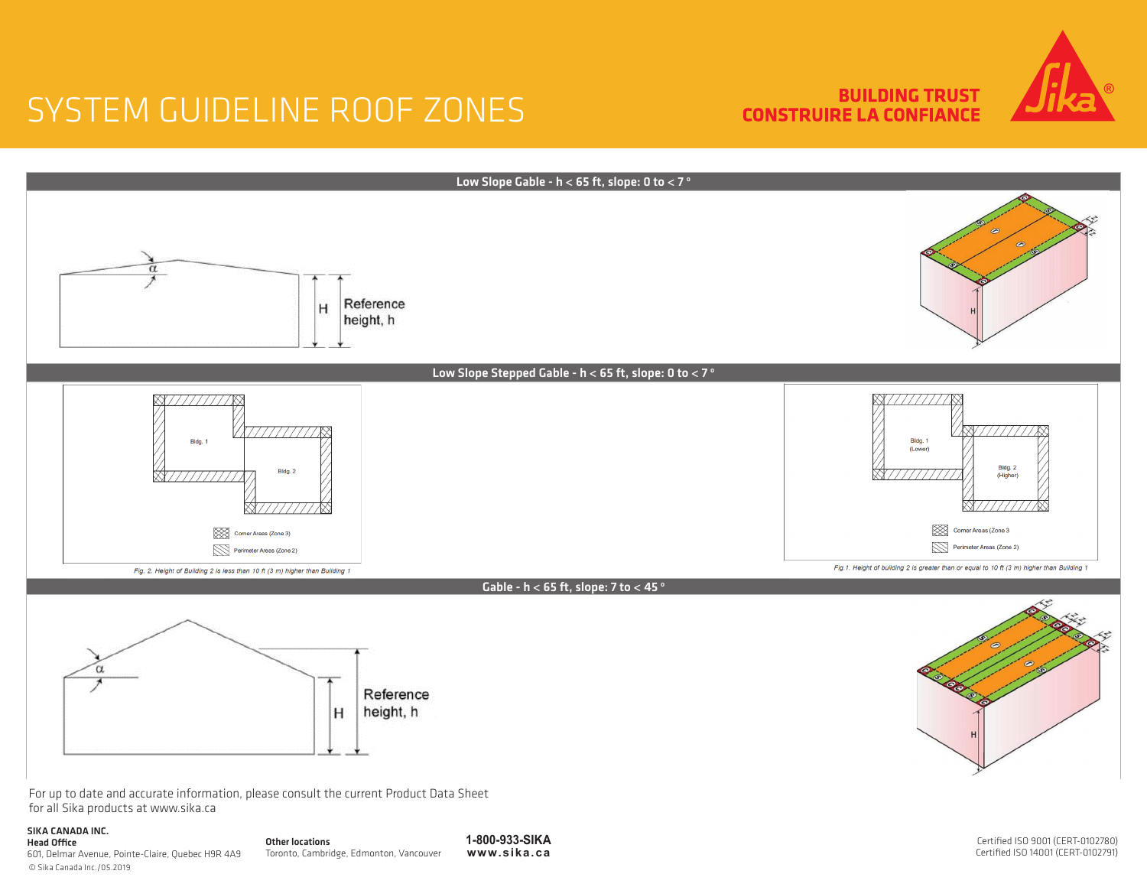**BUILDING TRUST CONSTRUIRE LA CONFIANCE** 





for all Sika products at www.sika.ca

#### SIKA CANADA INC. Head<br> $601<sub>c</sub>$

| <b>Head Office</b>                                | Other |
|---------------------------------------------------|-------|
| 601, Delmar Avenue, Pointe-Claire, Quebec H9R 4A9 | Toron |
| © Sika Canada Inc./05.2019                        |       |

**1-800-933-SIKA www.sika.ca** Iocations nto, Cambridge, Edmonton, Vancouver

Certified ISO 9001 (CERT-0102780) Certified ISO 14001 (CERT-0102791)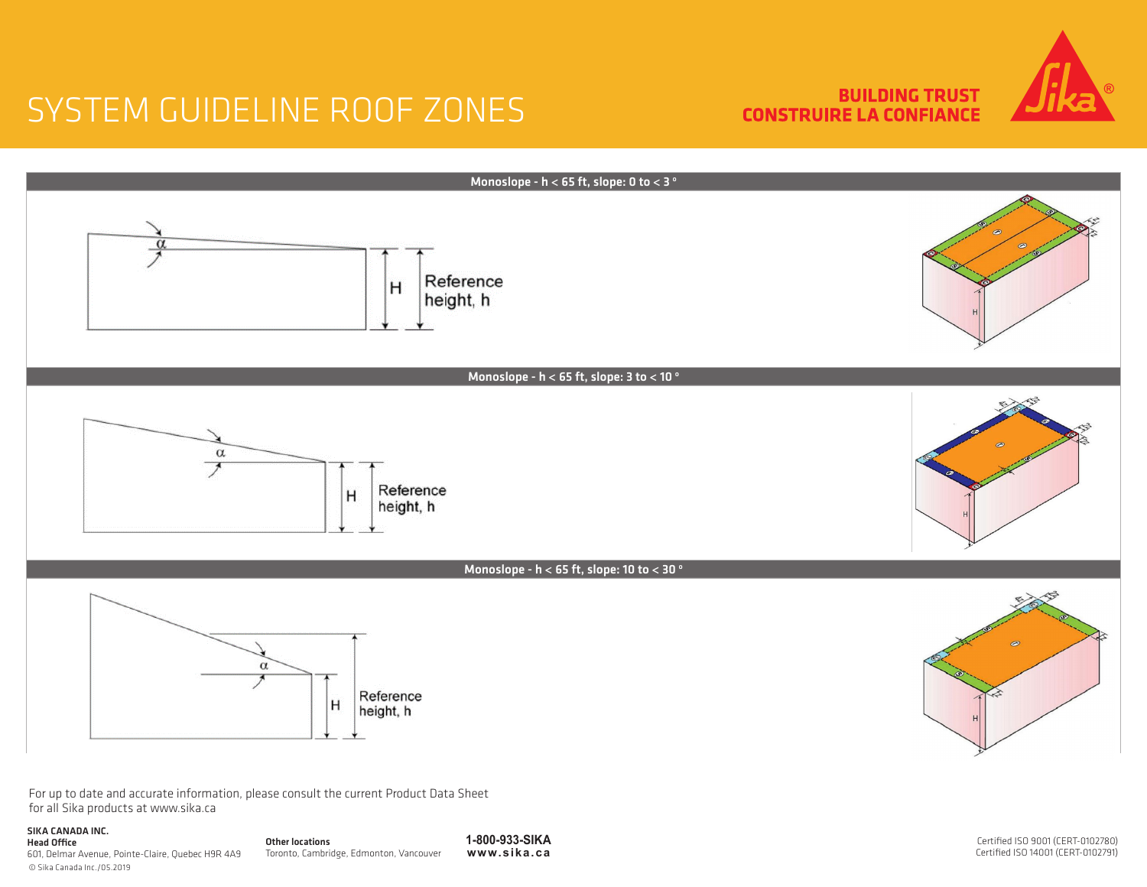**BUILDING TRUST CONSTRUIRE LA CONFIANCE** 





For up to date and accurate information, please consult the current Product Data Sheet for all Sika products at www.sika.ca

#### SIKA CANADA INC.

| ----------------------                            |
|---------------------------------------------------|
| <b>Head Office</b>                                |
| 601, Delmar Avenue, Pointe-Claire, Quebec H9R 4A9 |
| © Sika Canada Inc./05.2019                        |

Other locations Toronto, Cambridge, Edmonton, Vancouver

**1-800-933-SIKA www.sika.ca** Certified ISO 9001 (CERT-0102780) Certified ISO 14001 (CERT-0102791)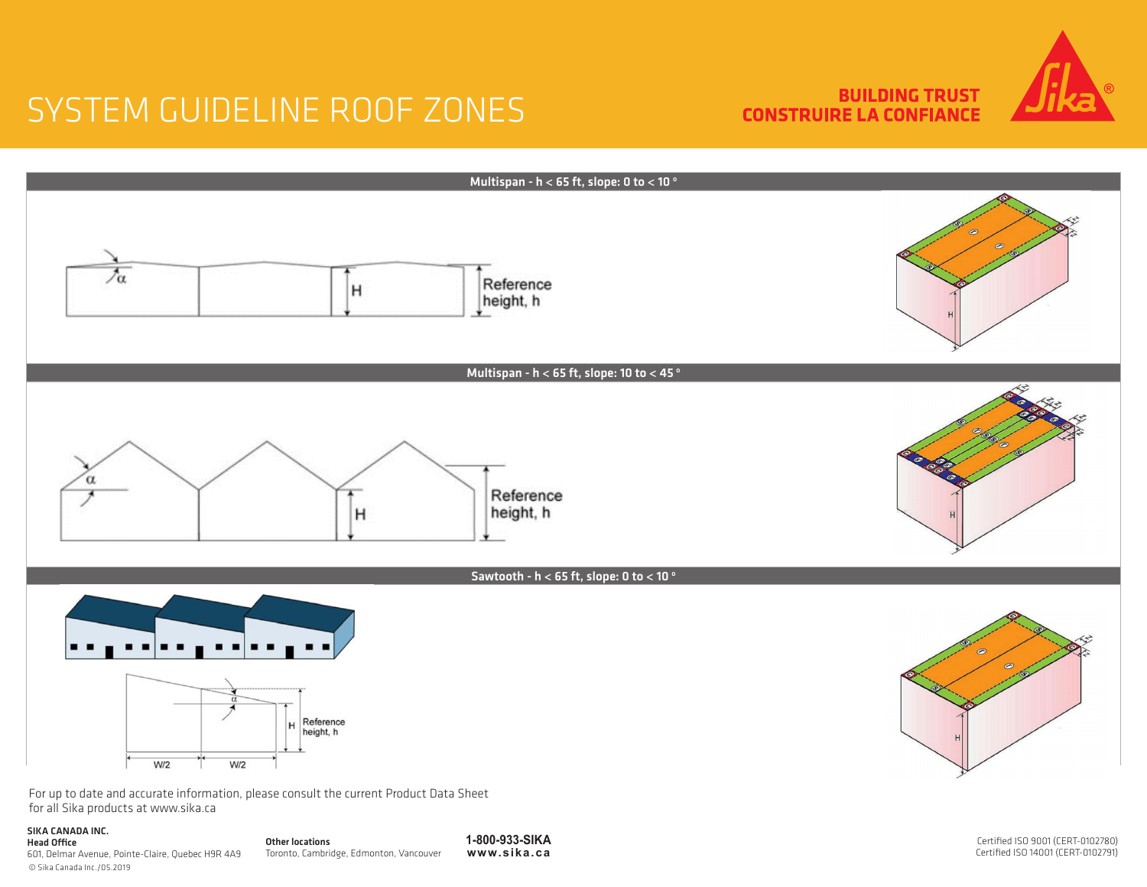**BUILDING TRUST CONSTRUIRE LA CONFIANCE** 





#### © Sika Canada Inc./05.2019 Head Office 601, Delmar Avenue, Pointe-Claire, Quebec H9R 4A9

Other locations Toronto, Cambridge, Edmonton, Vancouver

**1-800-933-SIKA www.sika.ca** Certified ISO 9001 (CERT-0102780) Certified ISO 14001 (CERT-0102791)